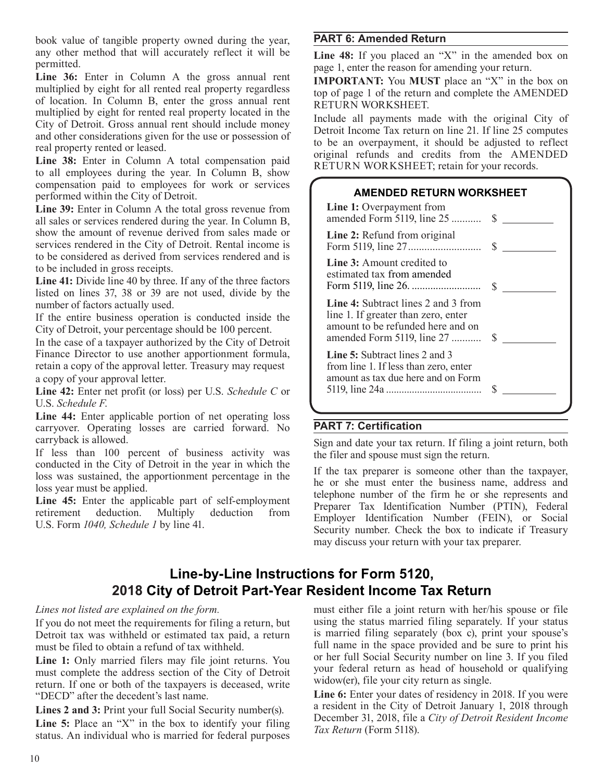book value of tangible property owned during the year, any other method that will accurately reflect it will be permitted.

Line 36: Enter in Column A the gross annual rent multiplied by eight for all rented real property regardless of location. In Column B, enter the gross annual rent multiplied by eight for rented real property located in the City of Detroit. Gross annual rent should include money and other considerations given for the use or possession of real property rented or leased.

**Line 38:** Enter in Column A total compensation paid to all employees during the year. In Column B, show compensation paid to employees for work or services performed within the City of Detroit.

**Line 39:** Enter in Column A the total gross revenue from all sales or services rendered during the year. In Column B, show the amount of revenue derived from sales made or services rendered in the City of Detroit. Rental income is to be considered as derived from services rendered and is to be included in gross receipts.

**Line 41:** Divide line 40 by three. If any of the three factors listed on lines 37, 38 or 39 are not used, divide by the number of factors actually used.

If the entire business operation is conducted inside the City of Detroit, your percentage should be 100 percent.

In the case of a taxpayer authorized by the City of Detroit Finance Director to use another apportionment formula, retain a copy of the approval letter. Treasury may request a copy of your approval letter.

**Line 42:** Enter net profit (or loss) per U.S. *Schedule C* or U.S. *Schedule F*.

**Line 44:** Enter applicable portion of net operating loss carryover. Operating losses are carried forward. No carryback is allowed.

If less than 100 percent of business activity was conducted in the City of Detroit in the year in which the loss was sustained, the apportionment percentage in the loss year must be applied.

**Line 45:** Enter the applicable part of self-employment retirement deduction. Multiply deduction from U.S. Form *1040, Schedule 1* by line 41.

## **PART 6: Amended Return**

Line 48: If you placed an "X" in the amended box on page 1, enter the reason for amending your return.

**IMPORTANT:** You **MUST** place an "X" in the box on top of page 1 of the return and complete the AMENDED RETURN WORKSHEET.

Include all payments made with the original City of Detroit Income Tax return on line 21. If line 25 computes to be an overpayment, it should be adjusted to reflect original refunds and credits from the AMENDED RETURN WORKSHEET; retain for your records.

| <b>AMENDED RETURN WORKSHEET</b>                                                                                                                          |   |
|----------------------------------------------------------------------------------------------------------------------------------------------------------|---|
| Line 1: Overpayment from<br>amended Form 5119, line 25  \$                                                                                               |   |
| Line 2: Refund from original                                                                                                                             |   |
| <b>Line 3:</b> Amount credited to<br>estimated tax from amended                                                                                          |   |
| <b>Line 4:</b> Subtract lines 2 and 3 from<br>line 1. If greater than zero, enter<br>amount to be refunded here and on<br>amended Form 5119, line 27  \$ |   |
| Line 5: Subtract lines 2 and 3<br>from line 1. If less than zero, enter<br>amount as tax due here and on Form                                            | S |
|                                                                                                                                                          |   |

# **PART 7: Certification**

Sign and date your tax return. If filing a joint return, both the filer and spouse must sign the return.

If the tax preparer is someone other than the taxpayer, he or she must enter the business name, address and telephone number of the firm he or she represents and Preparer Tax Identification Number (PTIN), Federal Employer Identification Number (FEIN), or Social Security number. Check the box to indicate if Treasury may discuss your return with your tax preparer.

# **Line-by-Line Instructions for Form 5120, 2018 City of Detroit Part-Year Resident Income Tax Return**

*Lines not listed are explained on the form.*

If you do not meet the requirements for filing a return, but Detroit tax was withheld or estimated tax paid, a return must be filed to obtain a refund of tax withheld.

**Line 1:** Only married filers may file joint returns. You must complete the address section of the City of Detroit return. If one or both of the taxpayers is deceased, write "DECD" after the decedent's last name.

**Lines 2 and 3:** Print your full Social Security number(s). Line 5: Place an "X" in the box to identify your filing status. An individual who is married for federal purposes

must either file a joint return with her/his spouse or file using the status married filing separately. If your status is married filing separately (box c), print your spouse's full name in the space provided and be sure to print his or her full Social Security number on line 3. If you filed your federal return as head of household or qualifying widow(er), file your city return as single.

**Line 6:** Enter your dates of residency in 2018. If you were a resident in the City of Detroit January 1, 2018 through December 31, 2018, file a *City of Detroit Resident Income Tax Return* (Form 5118).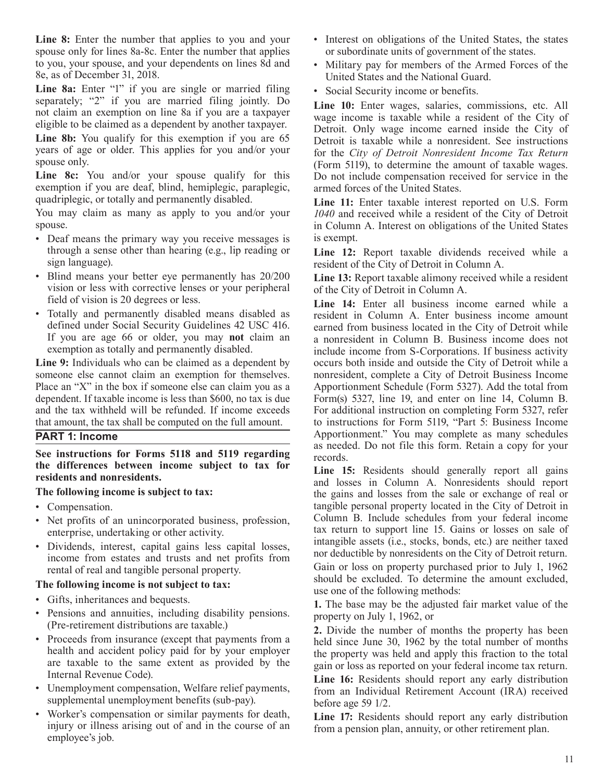Line 8: Enter the number that applies to you and your spouse only for lines 8a-8c. Enter the number that applies to you, your spouse, and your dependents on lines 8d and 8e, as of December 31, 2018.

Line 8a: Enter "1" if you are single or married filing separately; "2" if you are married filing jointly. Do not claim an exemption on line 8a if you are a taxpayer eligible to be claimed as a dependent by another taxpayer.

**Line 8b:** You qualify for this exemption if you are 65 years of age or older. This applies for you and/or your spouse only.

**Line 8c:** You and/or your spouse qualify for this exemption if you are deaf, blind, hemiplegic, paraplegic, quadriplegic, or totally and permanently disabled.

You may claim as many as apply to you and/or your spouse.

- Deaf means the primary way you receive messages is through a sense other than hearing (e.g., lip reading or sign language).
- Blind means your better eye permanently has 20/200 vision or less with corrective lenses or your peripheral field of vision is 20 degrees or less.
- Totally and permanently disabled means disabled as defined under Social Security Guidelines 42 USC 416. If you are age 66 or older, you may **not** claim an exemption as totally and permanently disabled.

**Line 9:** Individuals who can be claimed as a dependent by someone else cannot claim an exemption for themselves. Place an "X" in the box if someone else can claim you as a dependent. If taxable income is less than \$600, no tax is due and the tax withheld will be refunded. If income exceeds that amount, the tax shall be computed on the full amount.

#### **PART 1: Income**

**See instructions for Forms 5118 and 5119 regarding the differences between income subject to tax for residents and nonresidents.**

#### **The following income is subject to tax:**

- Compensation.
- Net profits of an unincorporated business, profession, enterprise, undertaking or other activity.
- Dividends, interest, capital gains less capital losses, income from estates and trusts and net profits from rental of real and tangible personal property.

#### **The following income is not subject to tax:**

- Gifts, inheritances and bequests.
- Pensions and annuities, including disability pensions. (Pre-retirement distributions are taxable.)
- Proceeds from insurance (except that payments from a health and accident policy paid for by your employer are taxable to the same extent as provided by the Internal Revenue Code).
- Unemployment compensation, Welfare relief payments, supplemental unemployment benefits (sub-pay).
- Worker's compensation or similar payments for death, injury or illness arising out of and in the course of an employee's job.
- Interest on obligations of the United States, the states or subordinate units of government of the states.
- Military pay for members of the Armed Forces of the United States and the National Guard.
- Social Security income or benefits.

**Line 10:** Enter wages, salaries, commissions, etc. All wage income is taxable while a resident of the City of Detroit. Only wage income earned inside the City of Detroit is taxable while a nonresident. See instructions for the *City of Detroit Nonresident Income Tax Return*  (Form 5119), to determine the amount of taxable wages. Do not include compensation received for service in the armed forces of the United States.

**Line 11:** Enter taxable interest reported on U.S. Form *1040* and received while a resident of the City of Detroit in Column A. Interest on obligations of the United States is exempt.

**Line 12:** Report taxable dividends received while a resident of the City of Detroit in Column A.

**Line 13:** Report taxable alimony received while a resident of the City of Detroit in Column A.

**Line 14:** Enter all business income earned while a resident in Column A. Enter business income amount earned from business located in the City of Detroit while a nonresident in Column B. Business income does not include income from S-Corporations. If business activity occurs both inside and outside the City of Detroit while a nonresident, complete a City of Detroit Business Income Apportionment Schedule (Form 5327). Add the total from Form(s) 5327, line 19, and enter on line 14, Column B. For additional instruction on completing Form 5327, refer to instructions for Form 5119, "Part 5: Business Income Apportionment." You may complete as many schedules as needed. Do not file this form. Retain a copy for your records.

Line 15: Residents should generally report all gains and losses in Column A. Nonresidents should report the gains and losses from the sale or exchange of real or tangible personal property located in the City of Detroit in Column B. Include schedules from your federal income tax return to support line 15. Gains or losses on sale of intangible assets (i.e., stocks, bonds, etc.) are neither taxed nor deductible by nonresidents on the City of Detroit return.

Gain or loss on property purchased prior to July 1, 1962 should be excluded. To determine the amount excluded, use one of the following methods:

**1.** The base may be the adjusted fair market value of the property on July 1, 1962, or

**2.** Divide the number of months the property has been held since June 30, 1962 by the total number of months the property was held and apply this fraction to the total gain or loss as reported on your federal income tax return.

**Line 16:** Residents should report any early distribution from an Individual Retirement Account (IRA) received before age 59 1/2.

**Line 17:** Residents should report any early distribution from a pension plan, annuity, or other retirement plan.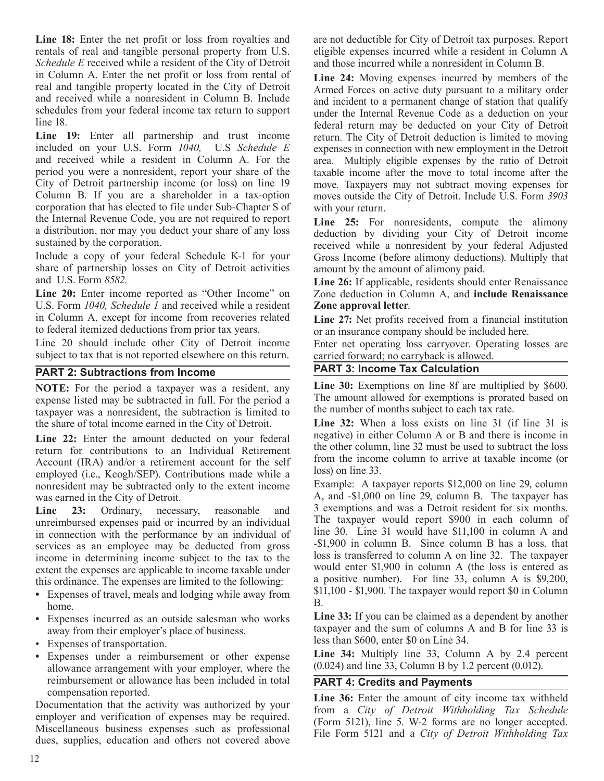Line 18: Enter the net profit or loss from royalties and rentals of real and tangible personal property from U.S. *Schedule E* received while a resident of the City of Detroit in Column A. Enter the net profit or loss from rental of real and tangible property located in the City of Detroit and received while a nonresident in Column B. Include schedules from your federal income tax return to support line 18.

**Line 19:** Enter all partnership and trust income included on your U.S. Form *1040,* U.S *Schedule E* and received while a resident in Column A. For the period you were a nonresident, report your share of the City of Detroit partnership income (or loss) on line 19 Column B. If you are a shareholder in a tax-option corporation that has elected to file under Sub-Chapter S of the Internal Revenue Code, you are not required to report a distribution, nor may you deduct your share of any loss sustained by the corporation.

Include a copy of your federal Schedule K-1 for your share of partnership losses on City of Detroit activities and U.S. Form *8582*.

Line 20: Enter income reported as "Other Income" on U.S. Form *1040, Schedule 1* and received while a resident in Column A, except for income from recoveries related to federal itemized deductions from prior tax years.

Line 20 should include other City of Detroit income subject to tax that is not reported elsewhere on this return.

## **PART 2: Subtractions from Income**

**NOTE:** For the period a taxpayer was a resident, any expense listed may be subtracted in full. For the period a taxpayer was a nonresident, the subtraction is limited to the share of total income earned in the City of Detroit.

**Line 22:** Enter the amount deducted on your federal return for contributions to an Individual Retirement Account (IRA) and/or a retirement account for the self employed (i.e., Keogh/SEP). Contributions made while a nonresident may be subtracted only to the extent income was earned in the City of Detroit.

Line 23: Ordinary, necessary, reasonable and unreimbursed expenses paid or incurred by an individual in connection with the performance by an individual of services as an employee may be deducted from gross income in determining income subject to the tax to the extent the expenses are applicable to income taxable under this ordinance. The expenses are limited to the following:

- **•** Expenses of travel, meals and lodging while away from home.
- **•** Expenses incurred as an outside salesman who works away from their employer's place of business.
- Expenses of transportation.
- **•** Expenses under a reimbursement or other expense allowance arrangement with your employer, where the reimbursement or allowance has been included in total compensation reported.

Documentation that the activity was authorized by your employer and verification of expenses may be required. Miscellaneous business expenses such as professional dues, supplies, education and others not covered above are not deductible for City of Detroit tax purposes. Report eligible expenses incurred while a resident in Column A and those incurred while a nonresident in Column B.

**Line 24:** Moving expenses incurred by members of the Armed Forces on active duty pursuant to a military order and incident to a permanent change of station that qualify under the Internal Revenue Code as a deduction on your federal return may be deducted on your City of Detroit return. The City of Detroit deduction is limited to moving expenses in connection with new employment in the Detroit area. Multiply eligible expenses by the ratio of Detroit taxable income after the move to total income after the move. Taxpayers may not subtract moving expenses for moves outside the City of Detroit. Include U.S. Form *3903* with your return.

Line 25: For nonresidents, compute the alimony deduction by dividing your City of Detroit income received while a nonresident by your federal Adjusted Gross Income (before alimony deductions). Multiply that amount by the amount of alimony paid.

**Line 26:** If applicable, residents should enter Renaissance Zone deduction in Column A, and **include Renaissance Zone approval letter**.

**Line 27:** Net profits received from a financial institution or an insurance company should be included here.

Enter net operating loss carryover. Operating losses are carried forward; no carryback is allowed.

## **PART 3: Income Tax Calculation**

Line 30: Exemptions on line 8f are multiplied by \$600. The amount allowed for exemptions is prorated based on the number of months subject to each tax rate.

**Line 32:** When a loss exists on line 31 (if line 31 is negative) in either Column A or B and there is income in the other column, line 32 must be used to subtract the loss from the income column to arrive at taxable income (or loss) on line 33.

Example: A taxpayer reports \$12,000 on line 29, column A, and -\$1,000 on line 29, column B. The taxpayer has 3 exemptions and was a Detroit resident for six months. The taxpayer would report \$900 in each column of line 30. Line 31 would have \$11,100 in column A and -\$1,900 in column B. Since column B has a loss, that loss is transferred to column A on line 32. The taxpayer would enter \$1,900 in column A (the loss is entered as a positive number). For line 33, column A is \$9,200, \$11,100 - \$1,900. The taxpayer would report \$0 in Column B.

**Line 33:** If you can be claimed as a dependent by another taxpayer and the sum of columns A and B for line 33 is less than \$600, enter \$0 on Line 34.

**Line 34:** Multiply line 33, Column A by 2.4 percent (0.024) and line 33, Column B by 1.2 percent (0.012).

## **PART 4: Credits and Payments**

**Line 36:** Enter the amount of city income tax withheld from a *City of Detroit Withholding Tax Schedule* (Form 5121), line 5. W-2 forms are no longer accepted. File Form 5121 and a *City of Detroit Withholding Tax*